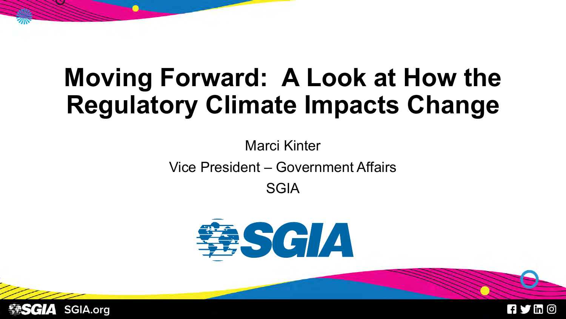# **Moving Forward: A Look at How the Regulatory Climate Impacts Change**

Marci Kinter Vice President – Government Affairs SGIA





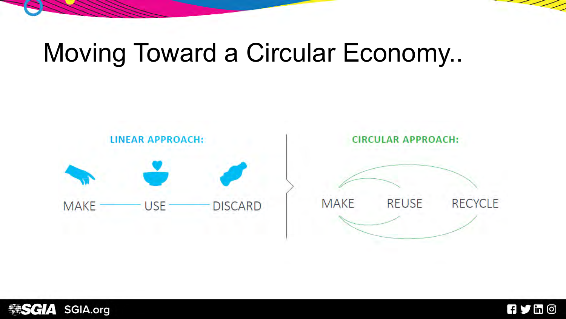# Moving Toward a Circular Economy..







 $\overline{\phantom{a}}$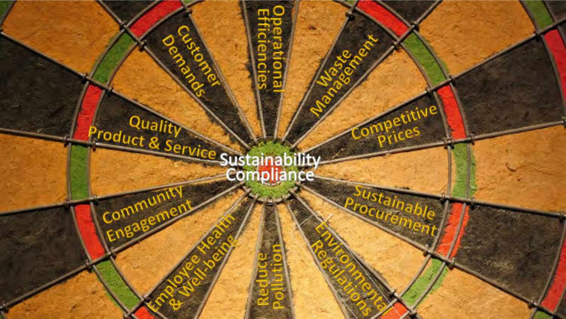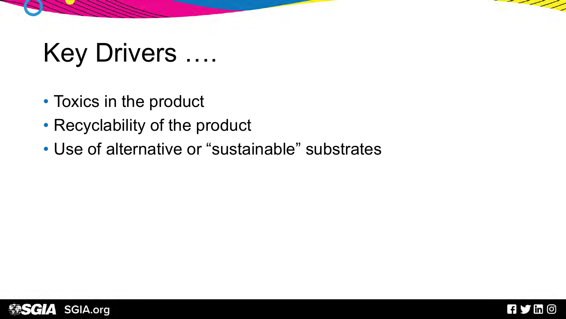# Key Drivers ….

- Toxics in the product
- Recyclability of the product
- Use of alternative or "sustainable" substrates





- - -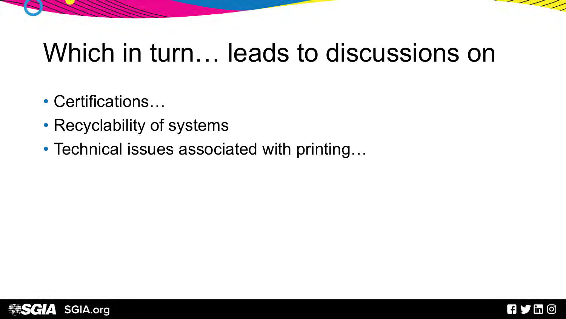### Which in turn… leads to discussions on

- Certifications…
- Recyclability of systems
- Technical issues associated with printing...



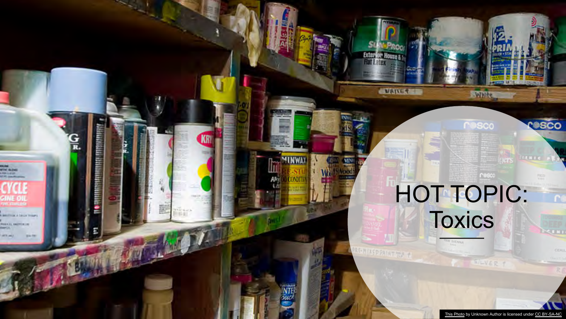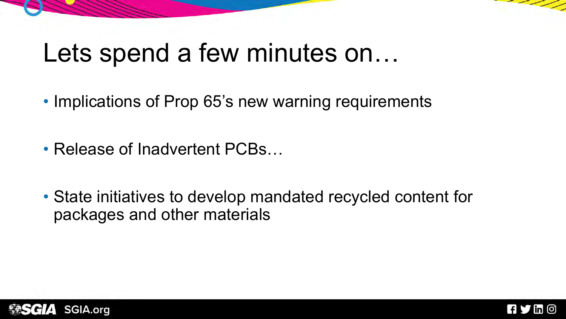### Lets spend a few minutes on...

- Implications of Prop 65's new warning requirements
- Release of Inadvertent PCBs…
- State initiatives to develop mandated recycled content for packages and other materials





- - -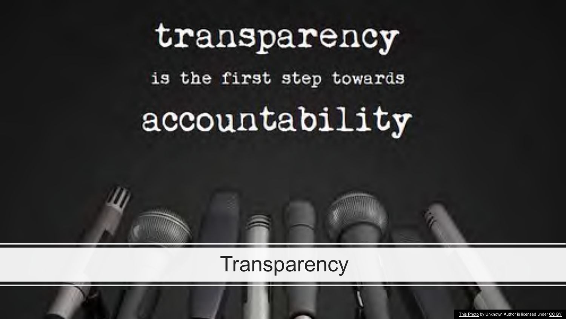# transparency is the first step towards accountability

#### **Transparency**

[This Photo](https://www.flickr.com/photos/okfn/7850188520) by Unknown Author is licensed under [CC BY](https://creativecommons.org/licenses/by/3.0/)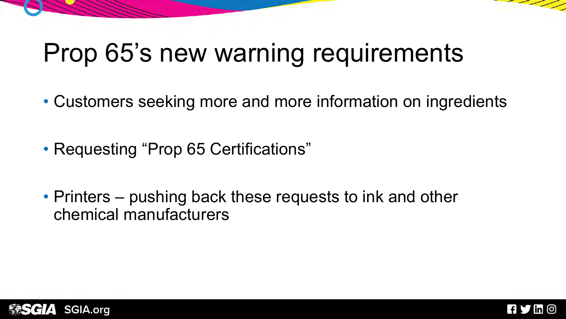# Prop 65's new warning requirements

- Customers seeking more and more information on ingredients
- Requesting "Prop 65 Certifications"
- Printers pushing back these requests to ink and other chemical manufacturers



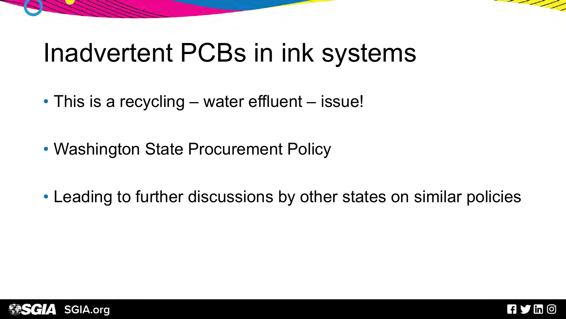### Inadvertent PCBs in ink systems

- This is a recycling water effluent issue!
- Washington State Procurement Policy
- Leading to further discussions by other states on similar policies





- 2 - 2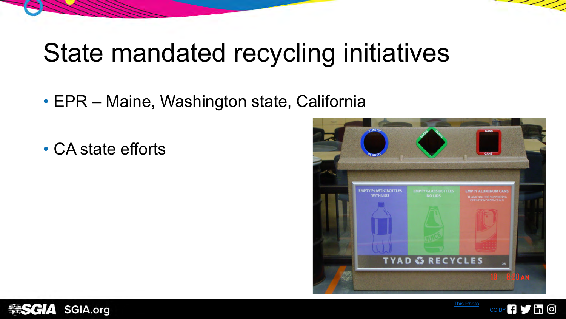### State mandated recycling initiatives

- EPR Maine, Washington state, California
- CA state efforts



[This Photo](https://www.flickr.com/photos/armyenvironmental/4440793297) by Unknown Author is a set

licensed under [CC BY](https://creativecommons.org/licenses/by/3.0/)